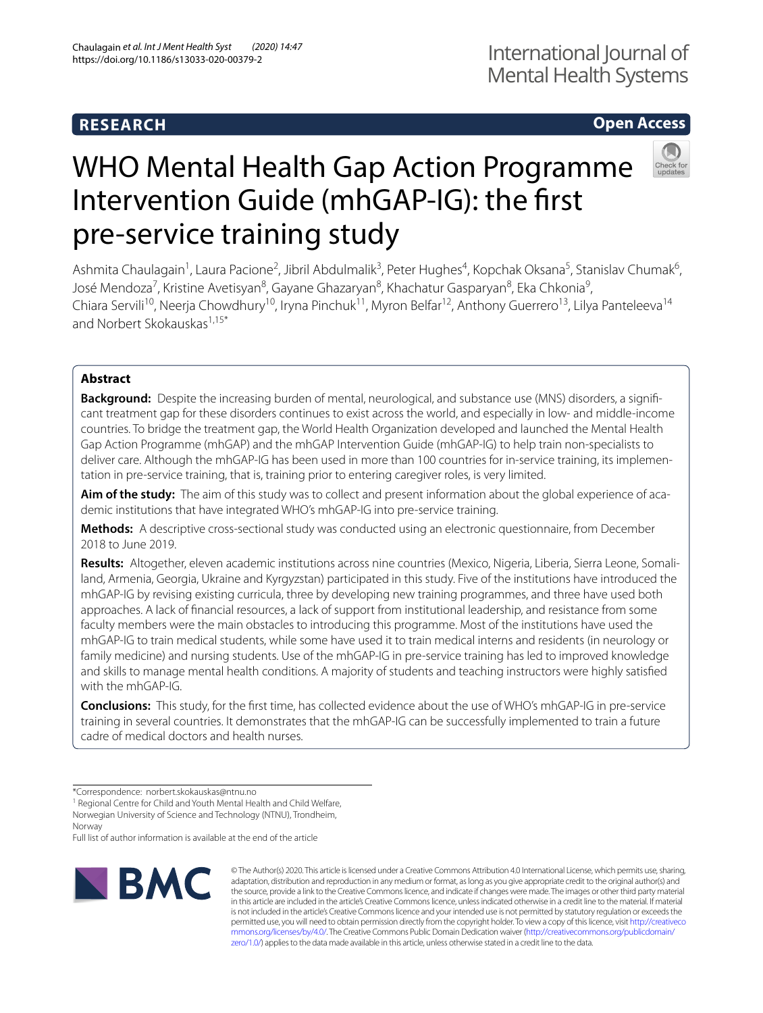# **RESEARCH**

# **Open Access**

# WHO Mental Health Gap Action Programme Intervention Guide (mhGAP-IG): the frst pre-service training study

Ashmita Chaulagain<sup>1</sup>, Laura Pacione<sup>2</sup>, Jibril Abdulmalik<sup>3</sup>, Peter Hughes<sup>4</sup>, Kopchak Oksana<sup>5</sup>, Stanislav Chumak<sup>6</sup>, José Mendoza<sup>7</sup>, Kristine Avetisyan<sup>8</sup>, Gayane Ghazaryan<sup>8</sup>, Khachatur Gasparyan<sup>8</sup>, Eka Chkonia<sup>9</sup>, Chiara Servili<sup>10</sup>, Neerja Chowdhury<sup>10</sup>, Iryna Pinchuk<sup>11</sup>, Myron Belfar<sup>12</sup>, Anthony Guerrero<sup>13</sup>, Lilya Panteleeva<sup>14</sup> and Norbert Skokauskas<sup>1,15\*</sup>

## **Abstract**

**Background:** Despite the increasing burden of mental, neurological, and substance use (MNS) disorders, a signifcant treatment gap for these disorders continues to exist across the world, and especially in low- and middle-income countries. To bridge the treatment gap, the World Health Organization developed and launched the Mental Health Gap Action Programme (mhGAP) and the mhGAP Intervention Guide (mhGAP-IG) to help train non-specialists to deliver care. Although the mhGAP-IG has been used in more than 100 countries for in-service training, its implementation in pre-service training, that is, training prior to entering caregiver roles, is very limited.

**Aim of the study:** The aim of this study was to collect and present information about the global experience of academic institutions that have integrated WHO's mhGAP-IG into pre-service training.

**Methods:** A descriptive cross-sectional study was conducted using an electronic questionnaire, from December 2018 to June 2019.

**Results:** Altogether, eleven academic institutions across nine countries (Mexico, Nigeria, Liberia, Sierra Leone, Somaliland, Armenia, Georgia, Ukraine and Kyrgyzstan) participated in this study. Five of the institutions have introduced the mhGAP-IG by revising existing curricula, three by developing new training programmes, and three have used both approaches. A lack of fnancial resources, a lack of support from institutional leadership, and resistance from some faculty members were the main obstacles to introducing this programme. Most of the institutions have used the mhGAP-IG to train medical students, while some have used it to train medical interns and residents (in neurology or family medicine) and nursing students. Use of the mhGAP-IG in pre-service training has led to improved knowledge and skills to manage mental health conditions. A majority of students and teaching instructors were highly satisfed with the mhGAP-IG.

**Conclusions:** This study, for the frst time, has collected evidence about the use of WHO's mhGAP-IG in pre-service training in several countries. It demonstrates that the mhGAP-IG can be successfully implemented to train a future cadre of medical doctors and health nurses.

Full list of author information is available at the end of the article



© The Author(s) 2020. This article is licensed under a Creative Commons Attribution 4.0 International License, which permits use, sharing, adaptation, distribution and reproduction in any medium or format, as long as you give appropriate credit to the original author(s) and the source, provide a link to the Creative Commons licence, and indicate if changes were made. The images or other third party material in this article are included in the article's Creative Commons licence, unless indicated otherwise in a credit line to the material. If material is not included in the article's Creative Commons licence and your intended use is not permitted by statutory regulation or exceeds the permitted use, you will need to obtain permission directly from the copyright holder. To view a copy of this licence, visit [http://creativeco](http://creativecommons.org/licenses/by/4.0/) [mmons.org/licenses/by/4.0/.](http://creativecommons.org/licenses/by/4.0/) The Creative Commons Public Domain Dedication waiver ([http://creativecommons.org/publicdomain/](http://creativecommons.org/publicdomain/zero/1.0/) [zero/1.0/\)](http://creativecommons.org/publicdomain/zero/1.0/) applies to the data made available in this article, unless otherwise stated in a credit line to the data.

<sup>\*</sup>Correspondence: norbert.skokauskas@ntnu.no

<sup>&</sup>lt;sup>1</sup> Regional Centre for Child and Youth Mental Health and Child Welfare, Norwegian University of Science and Technology (NTNU), Trondheim, Norway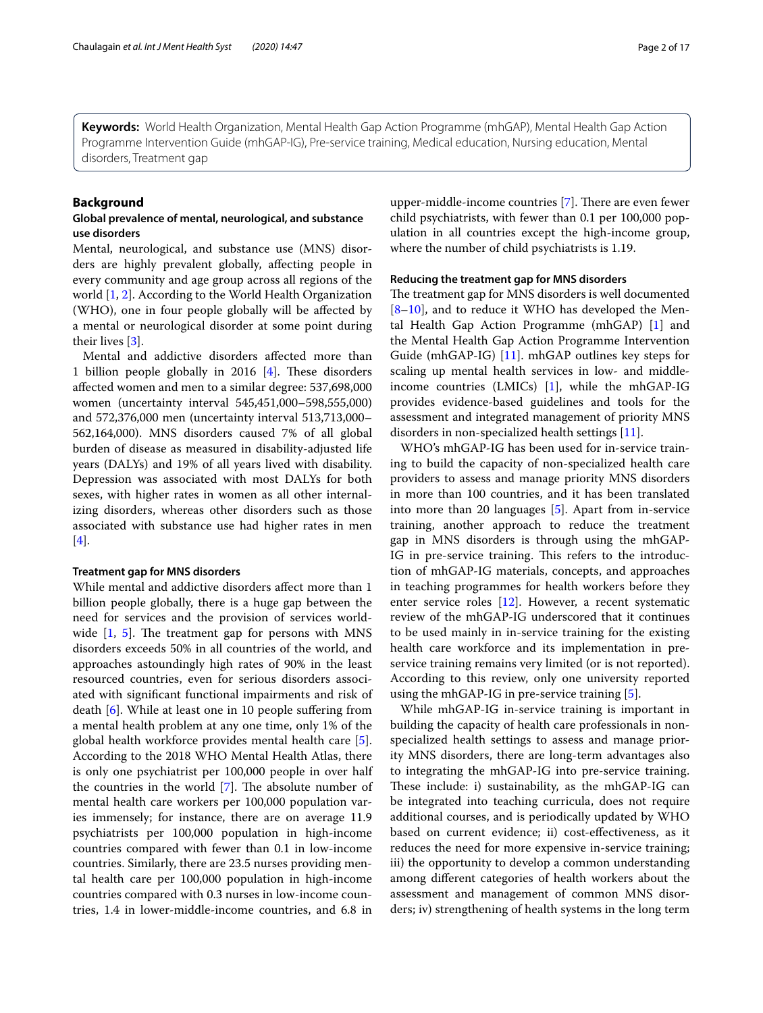**Keywords:** World Health Organization, Mental Health Gap Action Programme (mhGAP), Mental Health Gap Action Programme Intervention Guide (mhGAP-IG), Pre-service training, Medical education, Nursing education, Mental disorders, Treatment gap

#### **Background**

#### **Global prevalence of mental, neurological, and substance use disorders**

Mental, neurological, and substance use (MNS) disorders are highly prevalent globally, afecting people in every community and age group across all regions of the world [[1,](#page-15-0) [2](#page-15-1)]. According to the World Health Organization (WHO), one in four people globally will be afected by a mental or neurological disorder at some point during their lives [[3\]](#page-15-2).

Mental and addictive disorders afected more than 1 billion people globally in 2016 [\[4](#page-15-3)]. These disorders afected women and men to a similar degree: 537,698,000 women (uncertainty interval 545,451,000–598,555,000) and 572,376,000 men (uncertainty interval 513,713,000– 562,164,000). MNS disorders caused 7% of all global burden of disease as measured in disability-adjusted life years (DALYs) and 19% of all years lived with disability. Depression was associated with most DALYs for both sexes, with higher rates in women as all other internalizing disorders, whereas other disorders such as those associated with substance use had higher rates in men [[4\]](#page-15-3).

#### **Treatment gap for MNS disorders**

While mental and addictive disorders afect more than 1 billion people globally, there is a huge gap between the need for services and the provision of services worldwide  $[1, 5]$  $[1, 5]$  $[1, 5]$  $[1, 5]$  $[1, 5]$ . The treatment gap for persons with MNS disorders exceeds 50% in all countries of the world, and approaches astoundingly high rates of 90% in the least resourced countries, even for serious disorders associated with signifcant functional impairments and risk of death [[6\]](#page-15-5). While at least one in 10 people sufering from a mental health problem at any one time, only 1% of the global health workforce provides mental health care [\[5](#page-15-4)]. According to the 2018 WHO Mental Health Atlas, there is only one psychiatrist per 100,000 people in over half the countries in the world  $[7]$  $[7]$ . The absolute number of mental health care workers per 100,000 population varies immensely; for instance, there are on average 11.9 psychiatrists per 100,000 population in high-income countries compared with fewer than 0.1 in low-income countries. Similarly, there are 23.5 nurses providing mental health care per 100,000 population in high-income countries compared with 0.3 nurses in low-income countries, 1.4 in lower-middle-income countries, and 6.8 in upper-middle-income countries [[7\]](#page-15-6). There are even fewer child psychiatrists, with fewer than 0.1 per 100,000 population in all countries except the high-income group, where the number of child psychiatrists is 1.19.

#### **Reducing the treatment gap for MNS disorders**

The treatment gap for MNS disorders is well documented [[8–](#page-15-7)[10\]](#page-15-8), and to reduce it WHO has developed the Mental Health Gap Action Programme (mhGAP) [\[1](#page-15-0)] and the Mental Health Gap Action Programme Intervention Guide (mhGAP-IG) [[11\]](#page-15-9). mhGAP outlines key steps for scaling up mental health services in low- and middleincome countries (LMICs) [[1\]](#page-15-0), while the mhGAP-IG provides evidence-based guidelines and tools for the assessment and integrated management of priority MNS disorders in non-specialized health settings [\[11](#page-15-9)].

WHO's mhGAP-IG has been used for in-service training to build the capacity of non-specialized health care providers to assess and manage priority MNS disorders in more than 100 countries, and it has been translated into more than 20 languages [\[5\]](#page-15-4). Apart from in-service training, another approach to reduce the treatment gap in MNS disorders is through using the mhGAP-IG in pre-service training. This refers to the introduction of mhGAP-IG materials, concepts, and approaches in teaching programmes for health workers before they enter service roles [\[12\]](#page-15-10). However, a recent systematic review of the mhGAP-IG underscored that it continues to be used mainly in in-service training for the existing health care workforce and its implementation in preservice training remains very limited (or is not reported). According to this review, only one university reported using the mhGAP-IG in pre-service training [\[5](#page-15-4)].

While mhGAP-IG in-service training is important in building the capacity of health care professionals in nonspecialized health settings to assess and manage priority MNS disorders, there are long-term advantages also to integrating the mhGAP-IG into pre-service training. These include: i) sustainability, as the mhGAP-IG can be integrated into teaching curricula, does not require additional courses, and is periodically updated by WHO based on current evidence; ii) cost-efectiveness, as it reduces the need for more expensive in-service training; iii) the opportunity to develop a common understanding among diferent categories of health workers about the assessment and management of common MNS disorders; iv) strengthening of health systems in the long term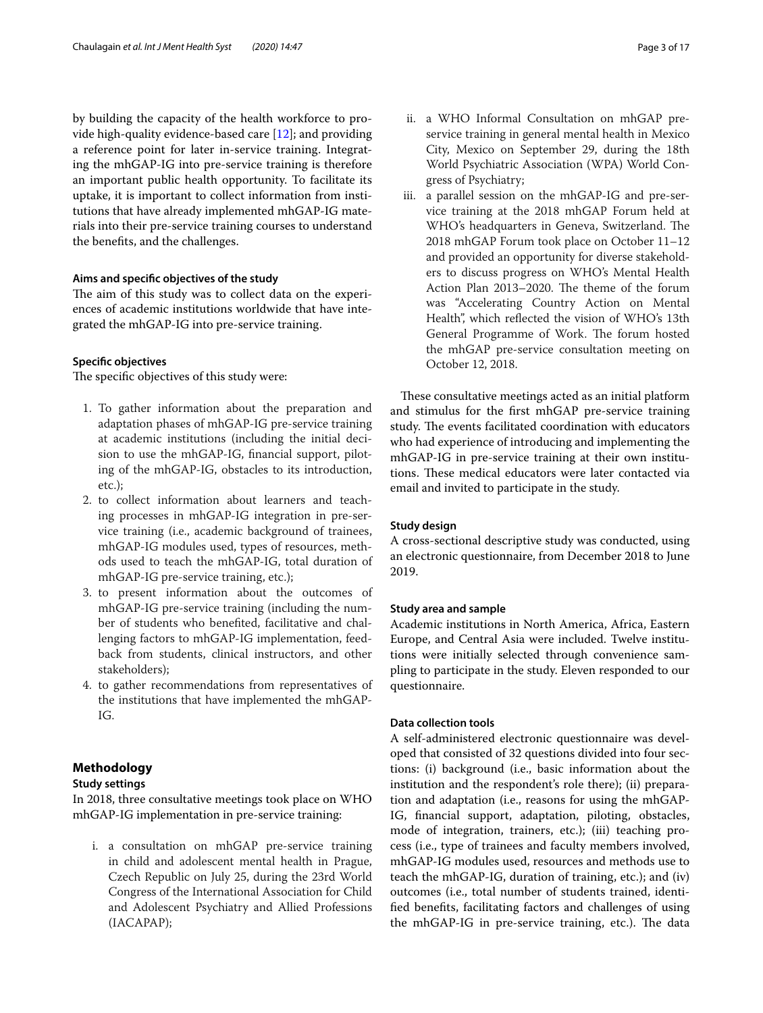by building the capacity of the health workforce to provide high-quality evidence-based care [\[12\]](#page-15-10); and providing a reference point for later in-service training. Integrating the mhGAP-IG into pre-service training is therefore an important public health opportunity. To facilitate its uptake, it is important to collect information from institutions that have already implemented mhGAP-IG materials into their pre-service training courses to understand the benefts, and the challenges.

#### **Aims and specifc objectives of the study**

The aim of this study was to collect data on the experiences of academic institutions worldwide that have integrated the mhGAP-IG into pre-service training.

#### **Specifc objectives**

The specific objectives of this study were:

- 1. To gather information about the preparation and adaptation phases of mhGAP-IG pre-service training at academic institutions (including the initial decision to use the mhGAP-IG, fnancial support, piloting of the mhGAP-IG, obstacles to its introduction, etc.);
- 2. to collect information about learners and teaching processes in mhGAP-IG integration in pre-service training (i.e., academic background of trainees, mhGAP-IG modules used, types of resources, methods used to teach the mhGAP-IG, total duration of mhGAP-IG pre-service training, etc.);
- 3. to present information about the outcomes of mhGAP-IG pre-service training (including the number of students who benefted, facilitative and challenging factors to mhGAP-IG implementation, feedback from students, clinical instructors, and other stakeholders);
- 4. to gather recommendations from representatives of the institutions that have implemented the mhGAP-IG.

#### **Methodology**

#### **Study settings**

In 2018, three consultative meetings took place on WHO mhGAP-IG implementation in pre-service training:

i. a consultation on mhGAP pre-service training in child and adolescent mental health in Prague, Czech Republic on July 25, during the 23rd World Congress of the International Association for Child and Adolescent Psychiatry and Allied Professions (IACAPAP);

- ii. a WHO Informal Consultation on mhGAP preservice training in general mental health in Mexico City, Mexico on September 29, during the 18th World Psychiatric Association (WPA) World Congress of Psychiatry;
- iii. a parallel session on the mhGAP-IG and pre-service training at the 2018 mhGAP Forum held at WHO's headquarters in Geneva, Switzerland. The 2018 mhGAP Forum took place on October 11–12 and provided an opportunity for diverse stakeholders to discuss progress on WHO's Mental Health Action Plan 2013-2020. The theme of the forum was "Accelerating Country Action on Mental Health", which refected the vision of WHO's 13th General Programme of Work. The forum hosted the mhGAP pre-service consultation meeting on October 12, 2018.

These consultative meetings acted as an initial platform and stimulus for the frst mhGAP pre-service training study. The events facilitated coordination with educators who had experience of introducing and implementing the mhGAP-IG in pre-service training at their own institutions. These medical educators were later contacted via email and invited to participate in the study.

#### **Study design**

A cross-sectional descriptive study was conducted, using an electronic questionnaire, from December 2018 to June 2019.

#### **Study area and sample**

Academic institutions in North America, Africa, Eastern Europe, and Central Asia were included. Twelve institutions were initially selected through convenience sampling to participate in the study. Eleven responded to our questionnaire.

#### **Data collection tools**

A self-administered electronic questionnaire was developed that consisted of 32 questions divided into four sections: (i) background (i.e., basic information about the institution and the respondent's role there); (ii) preparation and adaptation (i.e., reasons for using the mhGAP-IG, fnancial support, adaptation, piloting, obstacles, mode of integration, trainers, etc.); (iii) teaching process (i.e., type of trainees and faculty members involved, mhGAP-IG modules used, resources and methods use to teach the mhGAP-IG, duration of training, etc.); and (iv) outcomes (i.e., total number of students trained, identifed benefts, facilitating factors and challenges of using the mhGAP-IG in pre-service training, etc.). The data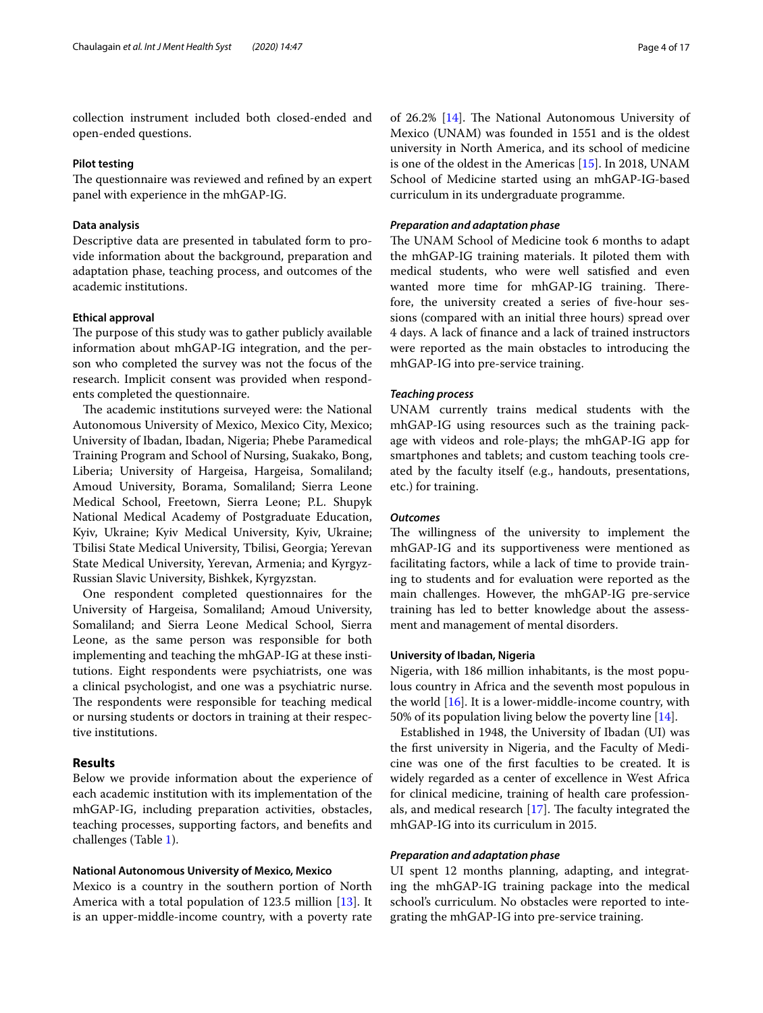collection instrument included both closed-ended and open-ended questions.

#### **Pilot testing**

The questionnaire was reviewed and refined by an expert panel with experience in the mhGAP-IG.

#### **Data analysis**

Descriptive data are presented in tabulated form to provide information about the background, preparation and adaptation phase, teaching process, and outcomes of the academic institutions.

#### **Ethical approval**

The purpose of this study was to gather publicly available information about mhGAP-IG integration, and the person who completed the survey was not the focus of the research. Implicit consent was provided when respondents completed the questionnaire.

The academic institutions surveyed were: the National Autonomous University of Mexico, Mexico City, Mexico; University of Ibadan, Ibadan, Nigeria; Phebe Paramedical Training Program and School of Nursing, Suakako, Bong, Liberia; University of Hargeisa, Hargeisa, Somaliland; Amoud University, Borama, Somaliland; Sierra Leone Medical School, Freetown, Sierra Leone; P.L. Shupyk National Medical Academy of Postgraduate Education, Kyiv, Ukraine; Kyiv Medical University, Kyiv, Ukraine; Tbilisi State Medical University, Tbilisi, Georgia; Yerevan State Medical University, Yerevan, Armenia; and Kyrgyz-Russian Slavic University, Bishkek, Kyrgyzstan.

One respondent completed questionnaires for the University of Hargeisa, Somaliland; Amoud University, Somaliland; and Sierra Leone Medical School, Sierra Leone, as the same person was responsible for both implementing and teaching the mhGAP-IG at these institutions. Eight respondents were psychiatrists, one was a clinical psychologist, and one was a psychiatric nurse. The respondents were responsible for teaching medical or nursing students or doctors in training at their respective institutions.

#### **Results**

Below we provide information about the experience of each academic institution with its implementation of the mhGAP-IG, including preparation activities, obstacles, teaching processes, supporting factors, and benefts and challenges (Table [1](#page-4-0)).

#### **National Autonomous University of Mexico, Mexico**

Mexico is a country in the southern portion of North America with a total population of 123.5 million [[13\]](#page-15-11). It is an upper-middle-income country, with a poverty rate

of 26.2% [\[14\]](#page-15-12). The National Autonomous University of Mexico (UNAM) was founded in 1551 and is the oldest university in North America, and its school of medicine is one of the oldest in the Americas [\[15](#page-15-13)]. In 2018, UNAM School of Medicine started using an mhGAP-IG-based curriculum in its undergraduate programme.

#### *Preparation and adaptation phase*

The UNAM School of Medicine took 6 months to adapt the mhGAP-IG training materials. It piloted them with medical students, who were well satisfed and even wanted more time for mhGAP-IG training. Therefore, the university created a series of fve-hour sessions (compared with an initial three hours) spread over 4 days. A lack of fnance and a lack of trained instructors were reported as the main obstacles to introducing the mhGAP-IG into pre-service training.

#### *Teaching process*

UNAM currently trains medical students with the mhGAP-IG using resources such as the training package with videos and role-plays; the mhGAP-IG app for smartphones and tablets; and custom teaching tools created by the faculty itself (e.g., handouts, presentations, etc.) for training.

#### *Outcomes*

The willingness of the university to implement the mhGAP-IG and its supportiveness were mentioned as facilitating factors, while a lack of time to provide training to students and for evaluation were reported as the main challenges. However, the mhGAP-IG pre-service training has led to better knowledge about the assessment and management of mental disorders.

#### **University of Ibadan, Nigeria**

Nigeria, with 186 million inhabitants, is the most populous country in Africa and the seventh most populous in the world [[16\]](#page-15-14). It is a lower-middle-income country, with 50% of its population living below the poverty line [\[14\]](#page-15-12).

Established in 1948, the University of Ibadan (UI) was the frst university in Nigeria, and the Faculty of Medicine was one of the frst faculties to be created. It is widely regarded as a center of excellence in West Africa for clinical medicine, training of health care professionals, and medical research  $[17]$  $[17]$ . The faculty integrated the mhGAP-IG into its curriculum in 2015.

#### *Preparation and adaptation phase*

UI spent 12 months planning, adapting, and integrating the mhGAP-IG training package into the medical school's curriculum. No obstacles were reported to integrating the mhGAP-IG into pre-service training.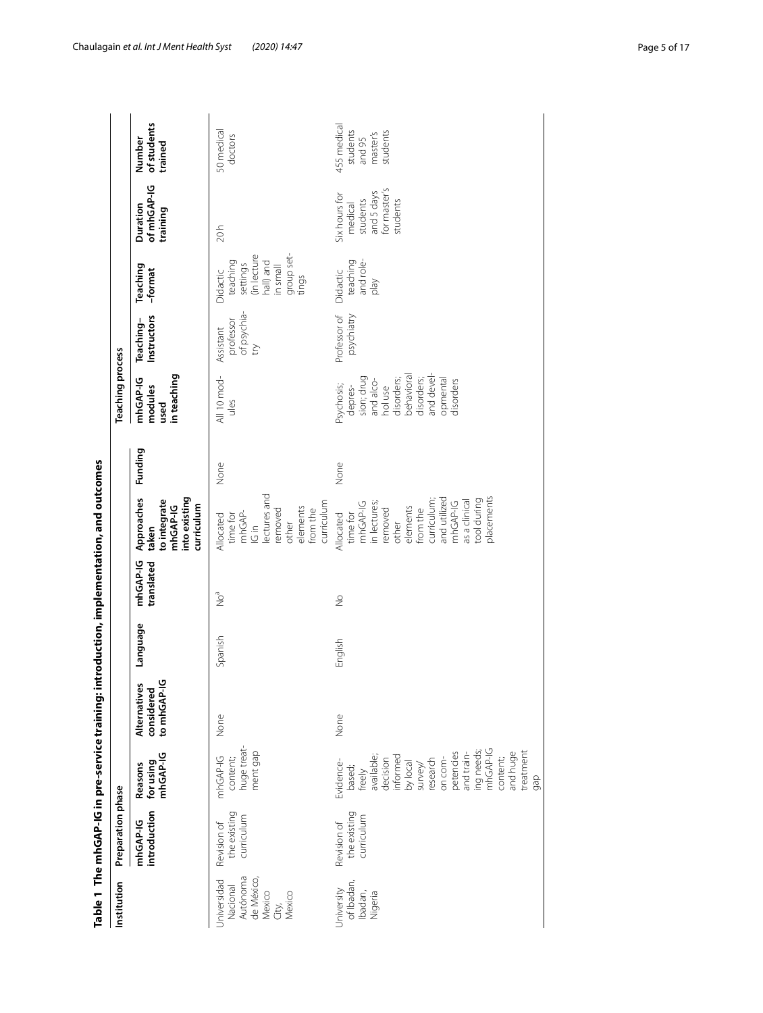|                                                                                | Table 1 The mhGAP-IG in pre-service training: i |                                                                                                                                                                                                                    |                                               |          |                        | introduction, implementation, and outcomes                                                                                                                                            |         |                                                                                                                                              |                                              |                                                                                                |                                                                                |                                                           |
|--------------------------------------------------------------------------------|-------------------------------------------------|--------------------------------------------------------------------------------------------------------------------------------------------------------------------------------------------------------------------|-----------------------------------------------|----------|------------------------|---------------------------------------------------------------------------------------------------------------------------------------------------------------------------------------|---------|----------------------------------------------------------------------------------------------------------------------------------------------|----------------------------------------------|------------------------------------------------------------------------------------------------|--------------------------------------------------------------------------------|-----------------------------------------------------------|
| Institution                                                                    | Preparation phase                               |                                                                                                                                                                                                                    |                                               |          |                        |                                                                                                                                                                                       |         | <b>Teaching process</b>                                                                                                                      |                                              |                                                                                                |                                                                                |                                                           |
|                                                                                | introduction<br>mhGAP-IG                        | for using<br>mhGAP-IG<br>Reasons                                                                                                                                                                                   | ي<br>Alternatives<br>considered<br>to mhGAP-I | Language | mhGAP-IG<br>translated | into existing<br>Approaches<br>to integrate<br>mhGAP-IG<br>curriculum<br>taken                                                                                                        | Funding | in teaching<br>mhGAP-IG<br>modules<br>used                                                                                                   | Instructors<br>Teaching-                     | Teaching<br>-format                                                                            | of mhGAP-IG<br>Duration<br>training                                            | of students<br>Number<br>trained                          |
| Autónoma<br>de México,<br>Jniversidad<br>Nacional<br>Mexico<br>Mexico<br>City, | the existing<br>curriculum<br>Revision of       | huge treat-<br>ment gap<br>mhGAP-IG<br>content;                                                                                                                                                                    | None                                          | Spanish  | $\sum_{i=1}^{6}$       | lectures and<br>curriculum<br>elements<br>removed<br>from the<br>mhGAP-<br>time for<br>Allocated<br>other<br>$\frac{1}{2}$                                                            | None    | All 10 mod-<br>ules                                                                                                                          | of psychia-<br>professor<br>Assistant<br>try | group set-<br>(in lecture<br>teaching<br>hall) and<br>settings<br>llemain<br>Didactic<br>tings | 20h                                                                            | 50 medical<br>doctors                                     |
| of Ibadan,<br>Jniversity<br>Ibadan,<br>Nigeria                                 | the existing<br>curriculum<br>Revision of       | ing needs;<br>mhGAP-IG<br>and huge<br>treatment<br>petencies<br>and train-<br>available;<br>informed<br>content;<br>research<br>on com-<br>decision<br>Evidence-<br>by local<br>survey/<br>based;<br>freely<br>gap | None                                          | English  | $\frac{1}{2}$          | placements<br>and utilized<br>tool during<br>curriculum<br>as a clinical<br>mhGAP-IG<br>mhGAP-IG<br>in lectures;<br>elements<br>removed<br>from the<br>time for<br>Allocated<br>other | None    | behavioral<br>and devel-<br>sion; drug<br>disorders;<br>disorders;<br>opmental<br>and alco-<br>disorders<br>Psychosis;<br>hol use<br>depres- | psychiatry<br>Professor of                   | and role-<br>teaching<br>Didactic<br>Veld                                                      | for master's<br>and 5 days<br>Six hours for<br>students<br>students<br>medical | 455 medical<br>students<br>students<br>master's<br>and 95 |

<span id="page-4-0"></span>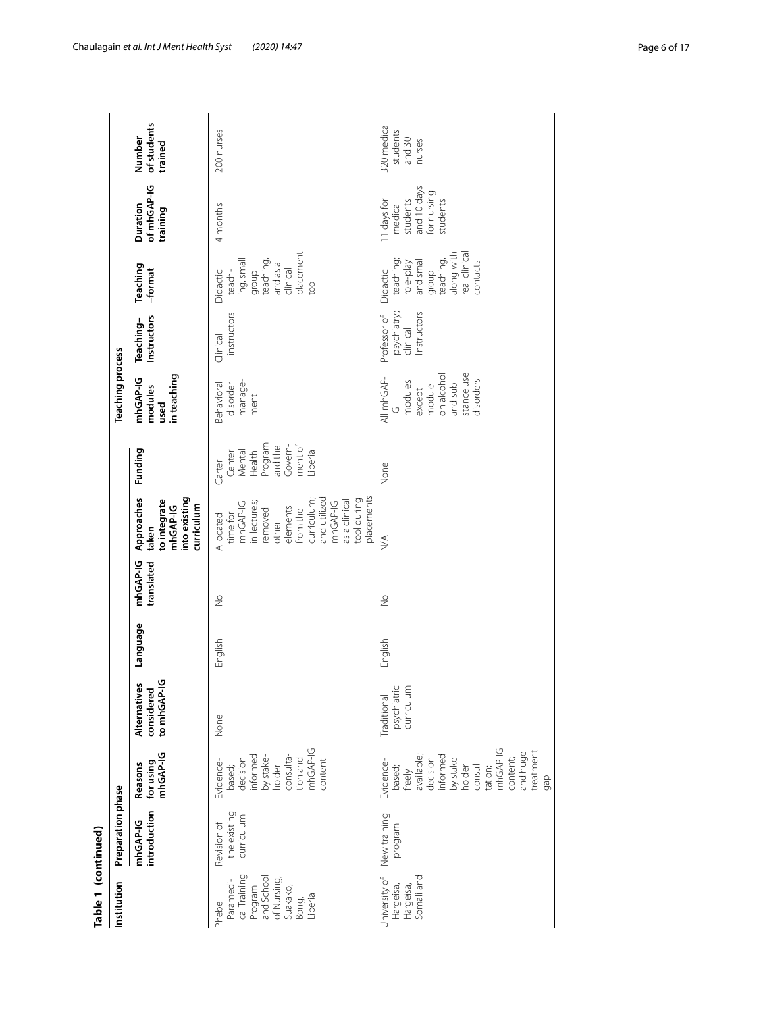| Table 1 (continued)                                                                                        |                                           |                                                                                                                                                                          |                                           |          |                        |                                                                                                                                                                                        |                                                                                             |                                                                                                                  |                                                        |                                                                                                                    |                                                                              |                                             |
|------------------------------------------------------------------------------------------------------------|-------------------------------------------|--------------------------------------------------------------------------------------------------------------------------------------------------------------------------|-------------------------------------------|----------|------------------------|----------------------------------------------------------------------------------------------------------------------------------------------------------------------------------------|---------------------------------------------------------------------------------------------|------------------------------------------------------------------------------------------------------------------|--------------------------------------------------------|--------------------------------------------------------------------------------------------------------------------|------------------------------------------------------------------------------|---------------------------------------------|
| Institution                                                                                                | Preparation phase                         |                                                                                                                                                                          |                                           |          |                        |                                                                                                                                                                                        |                                                                                             | <b>Teaching process</b>                                                                                          |                                                        |                                                                                                                    |                                                                              |                                             |
|                                                                                                            | introduction<br>mhGAP-IG                  | for using<br>mhGAP-IG<br>Reasons                                                                                                                                         | to mhGAP-IG<br>Alternatives<br>considered | Language | mhGAP-IG<br>translated | into existing<br>Approaches<br>to integrate<br>curriculum<br>mhGAP-IG<br>taken                                                                                                         | Funding                                                                                     | in teaching<br>mhGAP-IG<br>modules<br>used                                                                       | Instructors<br>Teaching-                               | Teaching<br>-format                                                                                                | of mhGAP-IG<br>Duration<br>training                                          | of students<br>Number<br>trained            |
| cal Training<br>Program<br>and School<br>of Nursing,<br>Paramedi-<br>Suakako,<br>Liberia<br>Bong,<br>Phebe | the existing<br>curriculum<br>Revision of | mhGAP-IG<br>informed<br>by stake-<br>consulta-<br>tion and<br>decision<br>content<br>Evidence-<br>based;<br>holder                                                       | None                                      | English  | $\frac{1}{2}$          | placements<br>and utilized<br>curriculum;<br>tool during<br>as a clinical<br>mhGAP-IG<br>mhGAP-IG<br>in lectures;<br>elements<br>from the<br>removed<br>time for<br>Allocated<br>other | Program<br>and the<br>ment of<br>Govern-<br>Health<br>Mental<br>Liberia<br>Center<br>Carter | manage-<br>Behavioral<br>disorder<br>ment                                                                        | instructors<br>Clinical                                | placement<br>ing, small<br>group<br>teaching,<br>and as a<br>clinical<br>Didactic<br>teach-<br>$\overline{5}$      | 4 months                                                                     | 200 nurses                                  |
| Somaliland<br>Jniversity of<br>Hargeisa,<br>Hargeisa,                                                      | New training<br>program                   | mhGAP-IG<br>treatment<br>and huge<br>available;<br>informed<br>by stake-<br>content;<br>decision<br>Evidence-<br>consul-<br>based;<br>holder<br>tation;<br>freely<br>gap | psychiatric<br>curriculum<br>Traditional  | English  | $\frac{1}{2}$          | $\stackrel{\triangle}{\geq}$                                                                                                                                                           | None                                                                                        | stance use<br>on alcohol<br>All mhGAP-<br>and sub-<br>disorders<br>modules<br>module<br>except<br>$\overline{C}$ | psychiatry;<br>clinical<br>Instructors<br>Professor of | eal clinical<br>along with<br>and small<br>teaching,<br>teaching;<br>contacts<br>$role$ -play<br>Didactic<br>qroup | and 10 days<br>for nursing<br>students<br>11 days for<br>medical<br>students | 320 medical<br>students<br>and 30<br>nurses |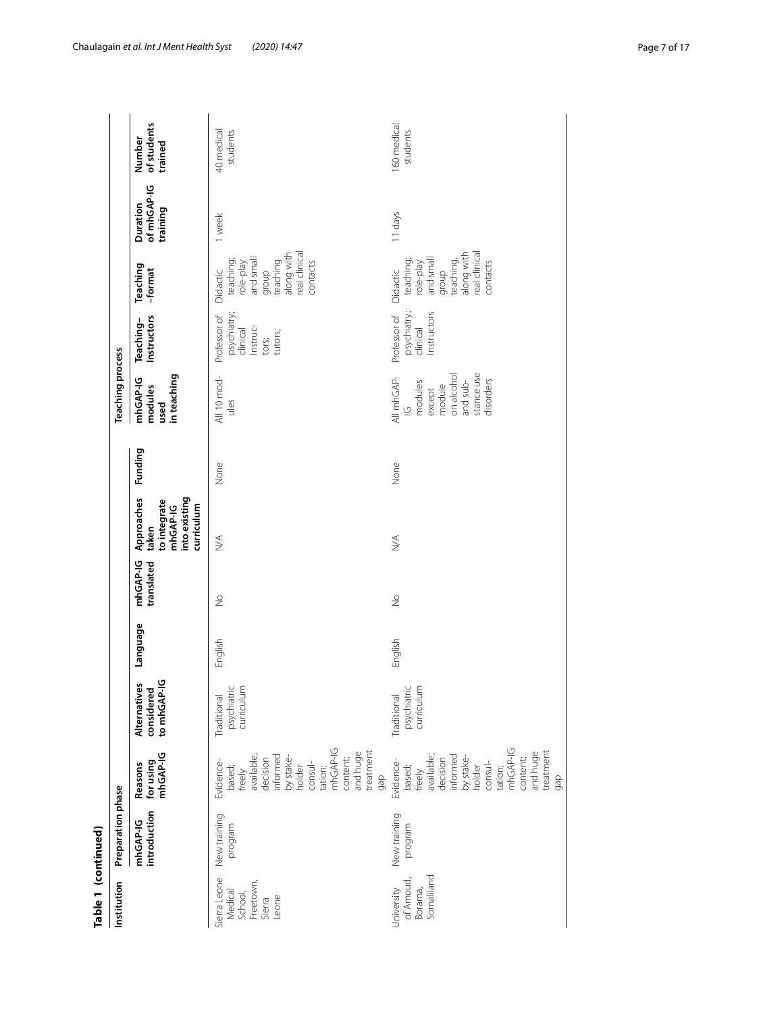| Table 1 (continued)                                                |                          |                                                                                                                                                                          |                                           |          |                        |                                                                                |         |                                                                                                                  |                                                                         |                                                                                                                     |                                     |                                  |
|--------------------------------------------------------------------|--------------------------|--------------------------------------------------------------------------------------------------------------------------------------------------------------------------|-------------------------------------------|----------|------------------------|--------------------------------------------------------------------------------|---------|------------------------------------------------------------------------------------------------------------------|-------------------------------------------------------------------------|---------------------------------------------------------------------------------------------------------------------|-------------------------------------|----------------------------------|
| Institution                                                        | Preparation phase        |                                                                                                                                                                          |                                           |          |                        |                                                                                |         | <b>Teaching process</b>                                                                                          |                                                                         |                                                                                                                     |                                     |                                  |
|                                                                    | introduction<br>mhGAP-IG | for using<br>mhGAP-IG<br>Reasons                                                                                                                                         | to mhGAP-IG<br>Alternatives<br>considered | Language | mhGAP-IG<br>translated | into existing<br>Approaches<br>to integrate<br>mhGAP-IG<br>curriculum<br>taken | Funding | in teaching<br>mhGAP-IG<br>modules<br>used                                                                       | Instructors<br>Teaching-                                                | Teaching<br>-format                                                                                                 | of mhGAP-IG<br>Duration<br>training | of students<br>Number<br>trained |
| Sierra Leone<br>Freetown,<br>Medical<br>School,<br>Leone<br>Sierra | New training<br>program  | mhGAP-IG<br>treatment<br>and huge<br>available;<br>informed<br>by stake-<br>content;<br>decision<br>consul-<br>Evidence-<br>holder<br>based;<br>tation;<br>freely<br>gap | psychiatric<br>curriculum<br>Traditional  | English  | $\frac{1}{2}$          | $\lessgtr$                                                                     | None    | All 10 mod-<br>ules                                                                                              | psychiatry;<br>clinical<br>Professor of<br>Instruc-<br>tutors;<br>tors; | along with<br>real clinical<br>and small<br>teaching;<br>group<br>teaching<br>role-play<br>contacts<br>Didactic     | 1 week                              | 40 medical<br>students           |
| Somaliland<br>of Amoud,<br>University<br>Borama,                   | New training<br>program  | mhGAP-IG<br>treatment<br>and huge<br>available;<br>decision<br>informed<br>by stake-<br>content;<br>Evidence-<br>consul-<br>based;<br>holder<br>tation;<br>freely<br>gap | psychiatric<br>curriculum<br>Traditional  | English  | $\frac{1}{2}$          | $\stackrel{\triangle}{\geq}$                                                   | None    | stance use<br>on alcohol<br>All mhGAP-<br>disorders<br>and sub-<br>modules<br>module<br>except<br>$\overline{C}$ | psychiatry;<br>clinical<br>Instructors<br>Professor of                  | along with<br>real clinical<br>and small<br>teaching;<br>group<br>teaching,<br>contacts<br>$role$ -play<br>Didactic | 11 days                             | 160 medical<br>students          |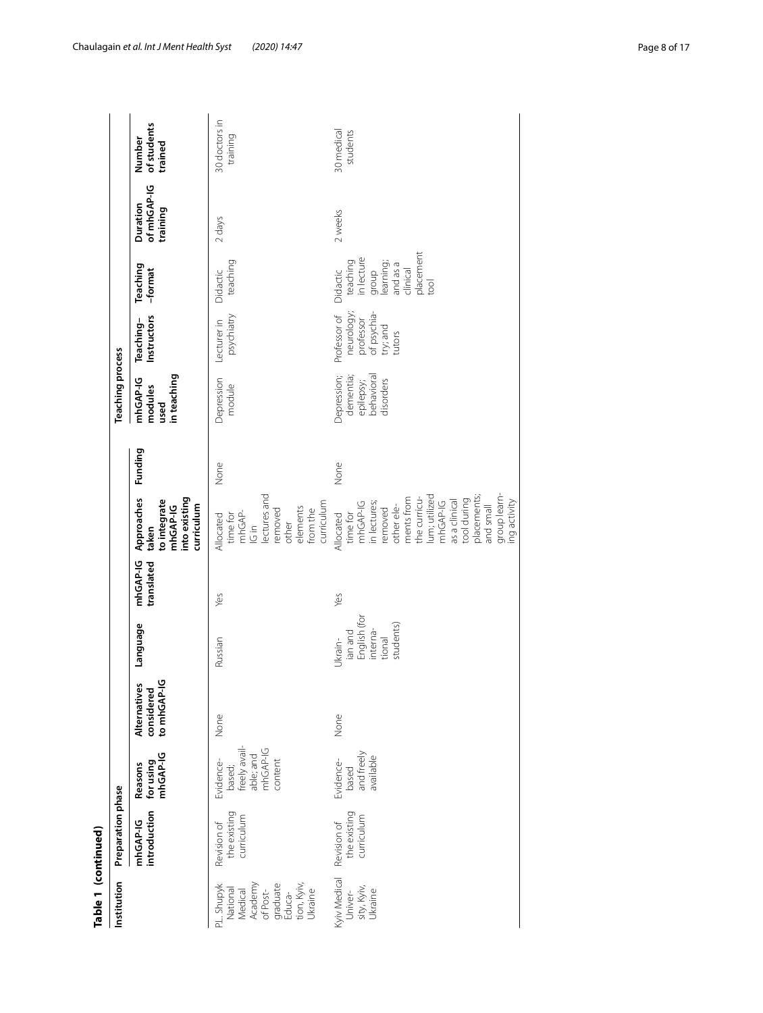| of mhGAP-IG<br>Duration<br>training<br>2 weeks<br>2 days<br>placement<br>in lecture<br>teaching<br>teaching<br>learning;<br>and as a<br>Teaching<br>Didactic<br>clinical<br>group<br>-format<br>Didactic<br>iool<br>neurology;<br>professor<br>of psychia-<br>psychiatry<br>Professor of<br>Instructors<br>Teaching-<br>Lecturer in<br>try; and<br>tutors<br><b>Teaching process</b><br>in teaching<br>epilepsy;<br>behavioral<br>Depression;<br>dementia;<br>mhGAP-IG<br>Depression<br>disorders<br>module<br>modules<br>used<br>Funding<br>None<br>None<br>lectures and<br>group learn-<br>placements;<br>lum; utilized<br>Approaches<br>ments from<br>into existing<br>the curricu-<br>tool during<br>as a clinical<br>mhGAP-IG<br>to integrate<br>curriculum<br>ng activity<br>mhGAP-IG<br>in lectures;<br>and small<br>other ele-<br>mhGAP-IG<br>curriculum<br>removed<br>elements<br>removed<br>from the<br>mhGAP-<br>time for<br>time for<br>Allocated<br>Allocated<br>other<br>$\frac{1}{2}$<br>taken<br>mhGAP-IG<br>translated<br>Yes<br>Yes<br>English (for<br>Language<br>students)<br>interna-<br>ian and<br>tional<br>Ukrain-<br>Russian<br>considered<br>to mhGAP-IG<br>Alternatives<br>None<br>None<br>freely avail-<br>able; and<br>mhGAP-IG<br>and freely<br>for using<br>mhGAP-IG<br>available<br>Evidence-<br>content<br>Evidence-<br>Reasons<br>based;<br>based<br>Preparation phase<br>introduction<br>the existing<br>the existing<br>curriculum<br>curriculum<br>mhGAP-IG<br>Revision of<br>Revision of |                                                          | Table 1 (continued) |  |  |  |  |  |                                  |
|--------------------------------------------------------------------------------------------------------------------------------------------------------------------------------------------------------------------------------------------------------------------------------------------------------------------------------------------------------------------------------------------------------------------------------------------------------------------------------------------------------------------------------------------------------------------------------------------------------------------------------------------------------------------------------------------------------------------------------------------------------------------------------------------------------------------------------------------------------------------------------------------------------------------------------------------------------------------------------------------------------------------------------------------------------------------------------------------------------------------------------------------------------------------------------------------------------------------------------------------------------------------------------------------------------------------------------------------------------------------------------------------------------------------------------------------------------------------------------------------------------------------------------|----------------------------------------------------------|---------------------|--|--|--|--|--|----------------------------------|
|                                                                                                                                                                                                                                                                                                                                                                                                                                                                                                                                                                                                                                                                                                                                                                                                                                                                                                                                                                                                                                                                                                                                                                                                                                                                                                                                                                                                                                                                                                                                | Institution                                              |                     |  |  |  |  |  |                                  |
| tion, Kyiv,<br>Ukraine<br>National<br>Medical                                                                                                                                                                                                                                                                                                                                                                                                                                                                                                                                                                                                                                                                                                                                                                                                                                                                                                                                                                                                                                                                                                                                                                                                                                                                                                                                                                                                                                                                                  |                                                          |                     |  |  |  |  |  | of students<br>Number<br>trained |
| Univer-                                                                                                                                                                                                                                                                                                                                                                                                                                                                                                                                                                                                                                                                                                                                                                                                                                                                                                                                                                                                                                                                                                                                                                                                                                                                                                                                                                                                                                                                                                                        | Academy<br>of Post-<br>graduate<br>Educa-<br>P.L. Shupyk |                     |  |  |  |  |  | 30 doctors in<br>training        |
|                                                                                                                                                                                                                                                                                                                                                                                                                                                                                                                                                                                                                                                                                                                                                                                                                                                                                                                                                                                                                                                                                                                                                                                                                                                                                                                                                                                                                                                                                                                                | Kyiv Medical<br>sity, Kyiv,<br>Ukraine                   |                     |  |  |  |  |  | 30 medical<br>students           |

Chaulagain *et al. Int J Ment Health Syst (2020) 14:47* Page 8 of 17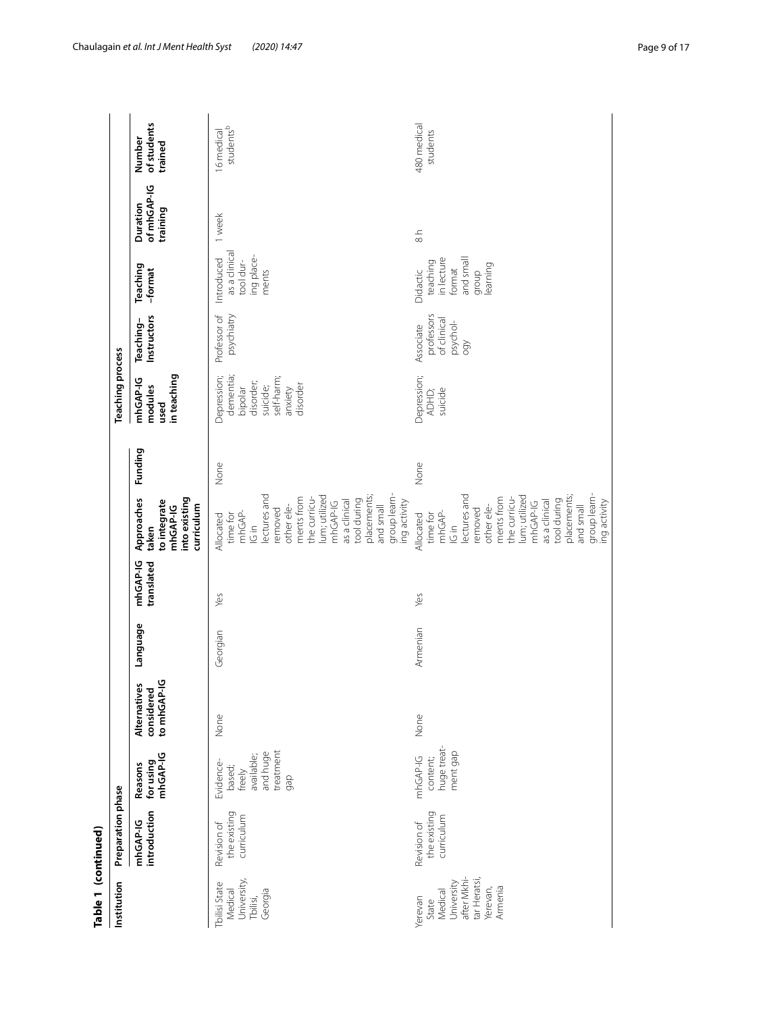| Table 1 (continued)                                                                             |                                           |                                                                             |                                           |          |                        |                                                                                                                                                                                                                                                  |         |                                                                                                   |                                                           |                                                                                |                                     |                                  |
|-------------------------------------------------------------------------------------------------|-------------------------------------------|-----------------------------------------------------------------------------|-------------------------------------------|----------|------------------------|--------------------------------------------------------------------------------------------------------------------------------------------------------------------------------------------------------------------------------------------------|---------|---------------------------------------------------------------------------------------------------|-----------------------------------------------------------|--------------------------------------------------------------------------------|-------------------------------------|----------------------------------|
| Institution                                                                                     | Preparation phase                         |                                                                             |                                           |          |                        |                                                                                                                                                                                                                                                  |         | <b>Teaching process</b>                                                                           |                                                           |                                                                                |                                     |                                  |
|                                                                                                 | introduction<br>mhGAP-IG                  | mhGAP-IG<br>Reasons<br>for using                                            | to mhGAP-IG<br>Alternatives<br>considered | Language | mhGAP-IG<br>translated | into existing<br>Approaches<br>to integrate<br>curriculum<br>mhGAP-IG<br>taken                                                                                                                                                                   | Funding | in teaching<br>mhGAP-IG<br>modules<br>used                                                        | Instructors<br>Teaching-                                  | Teaching<br>-format                                                            | of mhGAP-IG<br>Duration<br>training | of students<br>Number<br>trained |
| University,<br>Tbilisi State<br>Georgia<br>Medical<br>Tbilisi,                                  | the existing<br>curriculum<br>Revision of | treatment<br>and huge<br>available;<br>Evidence-<br>based;<br>freely<br>gap | None                                      | Georgian | Yes                    | group learn-<br>lectures and<br>lum; utilized<br>placements;<br>ments from<br>the curricu-<br>as a clinical<br>tool during<br>mhGAP-IG<br>ing activity<br>and small<br>other ele-<br>removed<br>mhGAP-<br>time for<br>Allocated<br>$\frac{1}{2}$ | None    | self-harm;<br>dementia;<br>Depression;<br>disorder;<br>disorder<br>suicide;<br>anxiety<br>bipolar | psychiatry<br>Professor of                                | as a clinical<br>ing place-<br>Introduced<br>tool dur-<br>ments                | 1 week                              | studentsb<br>16 medical          |
| after Mkhi-<br>tar Heratsi,<br>Medical<br>University<br>Armenia<br>Yerevan,<br>Yerevan<br>State | the existing<br>curriculum<br>Revision of | huge treat-<br>ment gap<br>mhGAP-IG<br>content;                             | None                                      | Armenian | Yes                    | group learn-<br>lectures and<br>lum; utilized<br>placements;<br>ments from<br>the curricu-<br>tool during<br>as a clinical<br>ing activity<br>mhGAP-IG<br>and small<br>other ele-<br>removed<br>mhGAP-<br>time for<br>Allocated<br>$\frac{1}{2}$ | None    | Depression;<br>suicide<br>ADHD;                                                                   | professors<br>of clinical<br>psychol-<br>Associate<br>QQQ | in lecture<br>and small<br>teaching<br>learning<br>format<br>Didactic<br>qroup | $\frac{1}{8}$                       | 480 medical<br>students          |

Chaulagain *et al. Int J Ment Health Syst (2020) 14:47* Page 9 of 17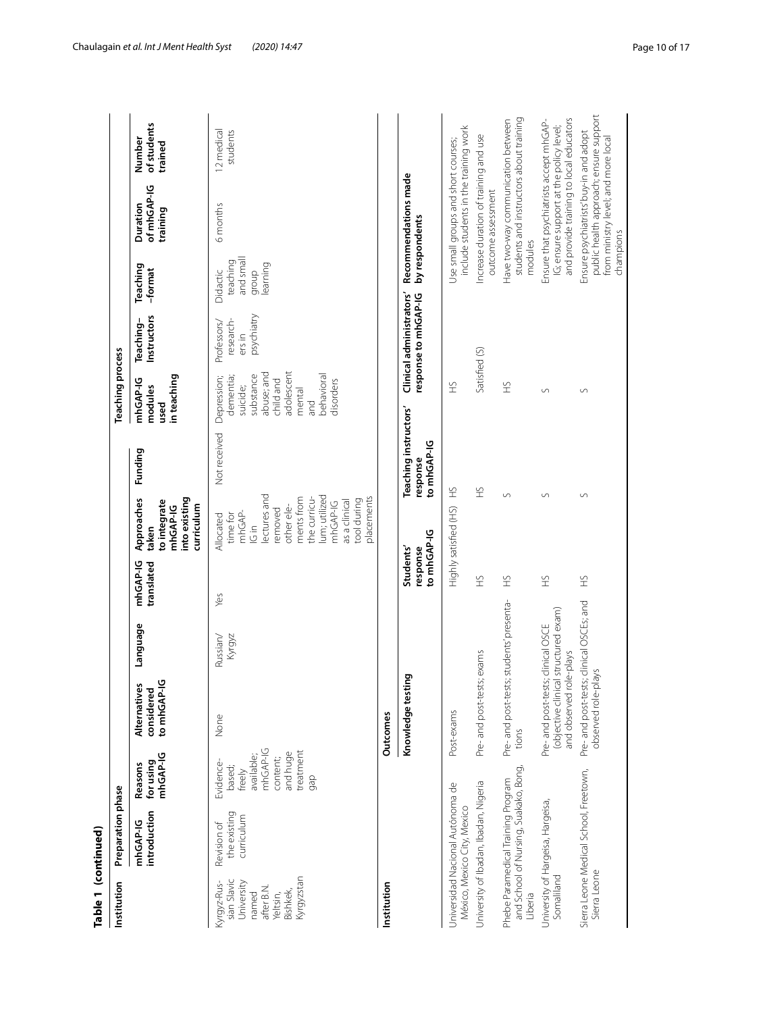| Table 1 (continued)                                                                                   |                                                                             |                                                                                                     |                                                                                                       |                    |                                              |                                                                                                                                                                                                    |                                                  |                                                                                                                                        |                                                  |                                                        |                                                                                                                               |                                  |
|-------------------------------------------------------------------------------------------------------|-----------------------------------------------------------------------------|-----------------------------------------------------------------------------------------------------|-------------------------------------------------------------------------------------------------------|--------------------|----------------------------------------------|----------------------------------------------------------------------------------------------------------------------------------------------------------------------------------------------------|--------------------------------------------------|----------------------------------------------------------------------------------------------------------------------------------------|--------------------------------------------------|--------------------------------------------------------|-------------------------------------------------------------------------------------------------------------------------------|----------------------------------|
| Institution                                                                                           | Preparation phase                                                           |                                                                                                     |                                                                                                       |                    |                                              |                                                                                                                                                                                                    |                                                  | <b>Teaching process</b>                                                                                                                |                                                  |                                                        |                                                                                                                               |                                  |
|                                                                                                       | introduction<br>mhGAP-IG                                                    | mhGAP-IG<br>for using<br>Reasons                                                                    | to mhGAP-IG<br>Alternatives<br>considered                                                             | Language           | mhGAP-IG<br>translated                       | into existing<br>Approaches<br>to integrate<br>curriculum<br>mhGAP-IG<br>taken                                                                                                                     | Funding                                          | in teaching<br>mhGAP-IG<br>modules<br>used                                                                                             | Instructors<br>Teaching-                         | Teaching<br>-format                                    | of mhGAP-IG<br>Duration<br>training                                                                                           | of students<br>Number<br>trained |
| Kyrgyzstan<br>sian Slavic<br>University<br>Kyrgyz-Rus-<br>after B.N.<br>Bishkek,<br>named<br>Yeltsin, | the existing<br>curriculum<br>Revision of                                   | mhGAP-IG<br>treatment<br>and huge<br>available;<br>content;<br>Evidence-<br>based;<br>freely<br>gap | None                                                                                                  | Kyrgyz<br>Russian/ | Yes                                          | lectures and<br>lum; utilized<br>ments from<br>the curricu-<br>placements<br>as a clinical<br>tool during<br>mhGAP-IG<br>other ele-<br>removed<br>mhGAP-<br>time for<br>Allocated<br>$\frac{1}{2}$ | Not received                                     | adolescent<br>abuse; and<br>behavioral<br>substance<br>Depression;<br>dementia;<br>child and<br>disorders<br>suicide;<br>mental<br>and | psychiatry<br>research-<br>Professors/<br>ers in | and small<br>teaching<br>learning<br>group<br>Didactic | 6 months                                                                                                                      | 12 medical<br>students           |
| Institution                                                                                           |                                                                             |                                                                                                     | Outcomes                                                                                              |                    |                                              |                                                                                                                                                                                                    |                                                  |                                                                                                                                        |                                                  |                                                        |                                                                                                                               |                                  |
|                                                                                                       |                                                                             |                                                                                                     | Knowledge testing                                                                                     |                    | to mhGAP-IG<br>Students'<br>response         |                                                                                                                                                                                                    | Teaching instructors'<br>to mhGAP-IG<br>response |                                                                                                                                        | Clinical administrators'<br>response to mhGAP-IG | by respondents                                         | Recommendations made                                                                                                          |                                  |
|                                                                                                       | Universidad Nacional Autónoma de<br>México, Mexico City, Mexico             |                                                                                                     | Post-exams                                                                                            |                    |                                              | Highly satisfied (HS)                                                                                                                                                                              | £                                                | £                                                                                                                                      |                                                  |                                                        | include students in the training work<br>Use small groups and short courses;                                                  |                                  |
|                                                                                                       | Jniversity of Ibadan, Ibadan, Nigeria                                       |                                                                                                     | Pre- and post-tests; exams                                                                            |                    | 오                                            |                                                                                                                                                                                                    | £                                                | Satisfied (S)                                                                                                                          |                                                  |                                                        | Increase duration of training and use<br>outcome assessment                                                                   |                                  |
| Liberia                                                                                               | and School of Nursing, Suakako, Bong,<br>Phebe Paramedical Training Program |                                                                                                     | Pre- and post-tests; students' presenta-<br>tions                                                     |                    | £                                            | S                                                                                                                                                                                                  |                                                  | £                                                                                                                                      |                                                  | modules                                                | students and instructors about training<br>Have two-way communication between                                                 |                                  |
| Somaliland                                                                                            | University of Hargeisa, Hargeisa,                                           |                                                                                                     | (objective clinical structured exam)<br>Pre- and post-tests; clinical OSCE<br>and observed role-plays |                    | $\ensuremath{\mathop{\mathcal{L}}\nolimits}$ | $\cup$                                                                                                                                                                                             |                                                  | $\circ$                                                                                                                                |                                                  |                                                        | and provide training to local educators<br>Ensure that psychiatrists accept mhGAP-<br>IG; ensure support at the policy level; |                                  |
| Sierra Leone                                                                                          | Sierra Leone Medical School, Freetown,                                      |                                                                                                     | Pre- and post-tests; clinical OSCEs; and<br>observed role-plays                                       |                    | £                                            | $\backsim$                                                                                                                                                                                         |                                                  | $\circ$                                                                                                                                |                                                  | champions                                              | public health approach; ensure support<br>Ensure psychiatrists' buy-in and adopt<br>from ministry level; and more local       |                                  |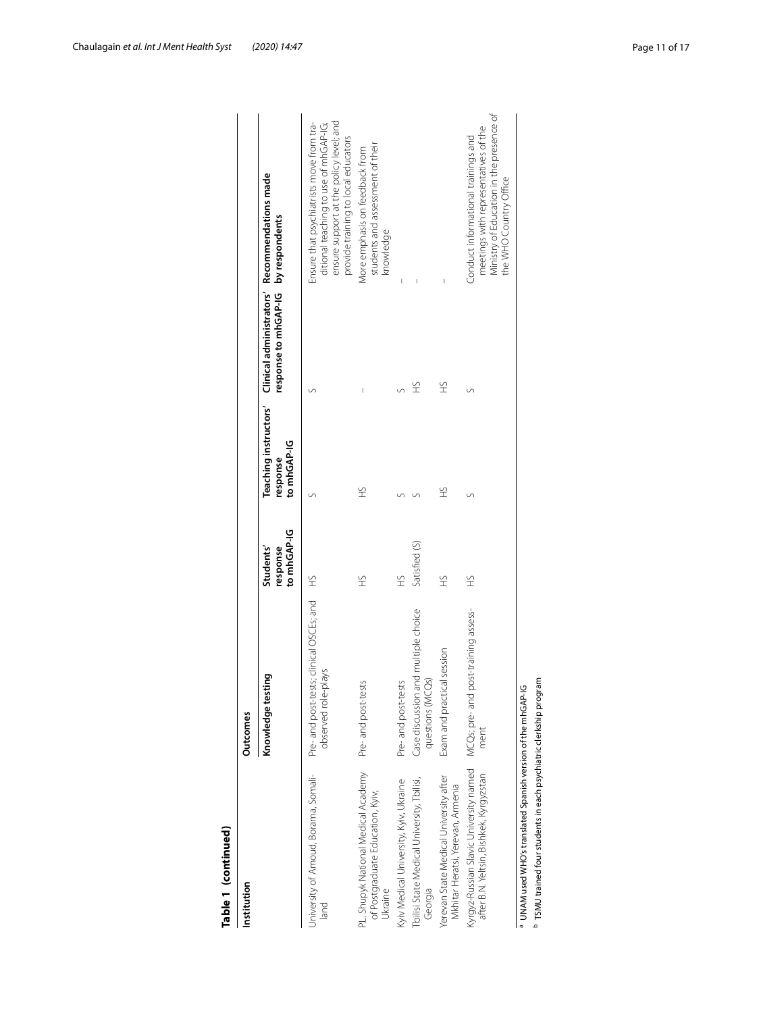| Table 1 (continued)                                                                                                            |                                                                 |                                      |                         |                                     |                                                                                                                                                                     |
|--------------------------------------------------------------------------------------------------------------------------------|-----------------------------------------------------------------|--------------------------------------|-------------------------|-------------------------------------|---------------------------------------------------------------------------------------------------------------------------------------------------------------------|
| Institution                                                                                                                    | Outcomes                                                        |                                      |                         |                                     |                                                                                                                                                                     |
|                                                                                                                                | Knowledge testing                                               | to mhGAP-IG<br>Students'<br>response | to mhGAP-IG<br>response | response to mhGAP-IG by respondents | Teaching instructors' Clinical administrators' Recommendations made                                                                                                 |
| University of Amoud, Borama, Somali-<br>land                                                                                   | Pre- and post-tests; clinical OSCEs; and<br>observed role-plays | <br>오                                |                         |                                     | ensure support at the policy level; and<br>ditional teaching to use of mhGAP-IG;<br>Ensure that psychiatrists move from tra-<br>provide training to local educators |
| P.L. Shupyk National Medical Academy<br>of Postgraduate Education, Kyiv,<br>Ukraine                                            | Pre- and post-tests                                             | £                                    | £                       |                                     | students and assessment of their<br>More emphasis on feedback from<br>knowledge                                                                                     |
| Kyiv Medical University, Kyiv, Ukraine                                                                                         | Pre- and post-tests                                             | £                                    |                         |                                     | I                                                                                                                                                                   |
| Tbilisi State Medical University, Tbilisi,<br>Georgia                                                                          | Case discussion and multiple choice<br>questions (MCQs)         | Satisfied (S)                        |                         | £                                   |                                                                                                                                                                     |
| Yerevan State Medical University after<br>Mkhitar Heratsi, Yerevan, Armenia                                                    | Exam and practical session                                      | £                                    | £                       | £                                   |                                                                                                                                                                     |
| Kyrgyz-Russian Slavic University named<br>after B.N. Yeltsin, Bishkek, Kyrgyzstan                                              | MCQs; pre- and post-training assess-<br>ment                    | £                                    |                         | S                                   | Ministry of Education in the presence of<br>meetings with representatives of the<br>Conduct informational trainings and<br>the WHO Country Office                   |
| TSMU trained four students in each psychiatric clerkship program<br>UNAM used WHO's translated Spanish version of the mhGAP-IG |                                                                 |                                      |                         |                                     |                                                                                                                                                                     |

| ₹ |
|---|
|   |
| ¢ |
|   |
| ٦ |
|   |
|   |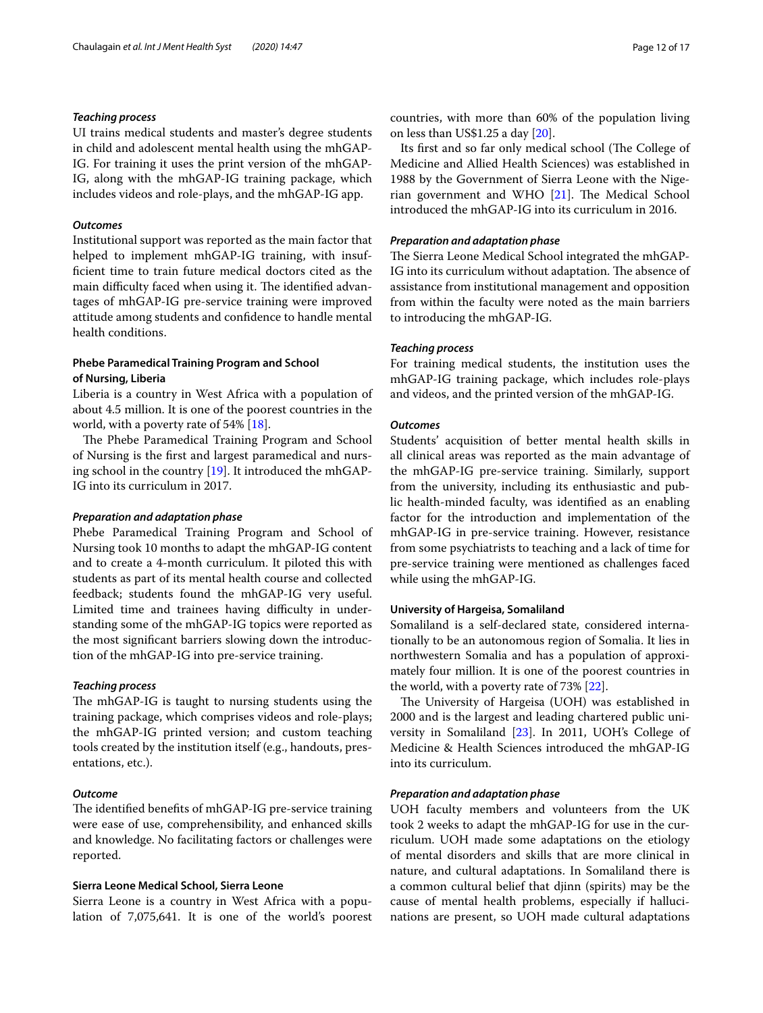#### *Teaching process*

UI trains medical students and master's degree students in child and adolescent mental health using the mhGAP-IG. For training it uses the print version of the mhGAP-IG, along with the mhGAP-IG training package, which includes videos and role-plays, and the mhGAP-IG app.

#### *Outcomes*

Institutional support was reported as the main factor that helped to implement mhGAP-IG training, with insuffcient time to train future medical doctors cited as the main difficulty faced when using it. The identified advantages of mhGAP-IG pre-service training were improved attitude among students and confdence to handle mental health conditions.

#### **Phebe Paramedical Training Program and School of Nursing, Liberia**

Liberia is a country in West Africa with a population of about 4.5 million. It is one of the poorest countries in the world, with a poverty rate of 54% [\[18](#page-16-0)].

The Phebe Paramedical Training Program and School of Nursing is the frst and largest paramedical and nursing school in the country [\[19](#page-16-1)]. It introduced the mhGAP-IG into its curriculum in 2017.

#### *Preparation and adaptation phase*

Phebe Paramedical Training Program and School of Nursing took 10 months to adapt the mhGAP-IG content and to create a 4-month curriculum. It piloted this with students as part of its mental health course and collected feedback; students found the mhGAP-IG very useful. Limited time and trainees having difficulty in understanding some of the mhGAP-IG topics were reported as the most signifcant barriers slowing down the introduction of the mhGAP-IG into pre-service training.

#### *Teaching process*

The mhGAP-IG is taught to nursing students using the training package, which comprises videos and role-plays; the mhGAP-IG printed version; and custom teaching tools created by the institution itself (e.g., handouts, presentations, etc.).

#### *Outcome*

The identified benefits of mhGAP-IG pre-service training were ease of use, comprehensibility, and enhanced skills and knowledge. No facilitating factors or challenges were reported.

#### **Sierra Leone Medical School, Sierra Leone**

Sierra Leone is a country in West Africa with a population of 7,075,641. It is one of the world's poorest countries, with more than 60% of the population living on less than US\$1.25 a day [\[20](#page-16-2)].

Its first and so far only medical school (The College of Medicine and Allied Health Sciences) was established in 1988 by the Government of Sierra Leone with the Nigerian government and WHO  $[21]$  $[21]$ . The Medical School introduced the mhGAP-IG into its curriculum in 2016.

#### *Preparation and adaptation phase*

The Sierra Leone Medical School integrated the mhGAP-IG into its curriculum without adaptation. The absence of assistance from institutional management and opposition from within the faculty were noted as the main barriers to introducing the mhGAP-IG.

#### *Teaching process*

For training medical students, the institution uses the mhGAP-IG training package, which includes role-plays and videos, and the printed version of the mhGAP-IG.

#### *Outcomes*

Students' acquisition of better mental health skills in all clinical areas was reported as the main advantage of the mhGAP-IG pre-service training. Similarly, support from the university, including its enthusiastic and public health-minded faculty, was identifed as an enabling factor for the introduction and implementation of the mhGAP-IG in pre-service training. However, resistance from some psychiatrists to teaching and a lack of time for pre-service training were mentioned as challenges faced while using the mhGAP-IG.

#### **University of Hargeisa, Somaliland**

Somaliland is a self-declared state, considered internationally to be an autonomous region of Somalia. It lies in northwestern Somalia and has a population of approximately four million. It is one of the poorest countries in the world, with a poverty rate of 73% [[22](#page-16-4)].

The University of Hargeisa (UOH) was established in 2000 and is the largest and leading chartered public university in Somaliland [[23\]](#page-16-5). In 2011, UOH's College of Medicine & Health Sciences introduced the mhGAP-IG into its curriculum.

#### *Preparation and adaptation phase*

UOH faculty members and volunteers from the UK took 2 weeks to adapt the mhGAP-IG for use in the curriculum. UOH made some adaptations on the etiology of mental disorders and skills that are more clinical in nature, and cultural adaptations. In Somaliland there is a common cultural belief that djinn (spirits) may be the cause of mental health problems, especially if hallucinations are present, so UOH made cultural adaptations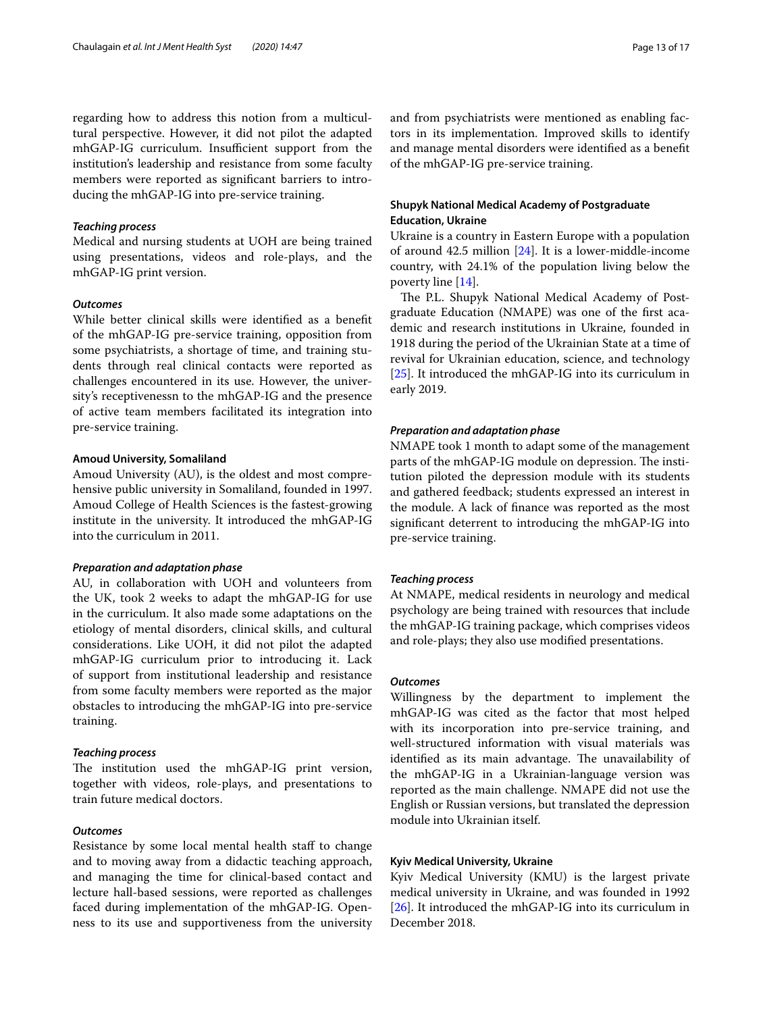regarding how to address this notion from a multicultural perspective. However, it did not pilot the adapted mhGAP-IG curriculum. Insufficient support from the institution's leadership and resistance from some faculty members were reported as signifcant barriers to introducing the mhGAP-IG into pre-service training.

#### *Teaching process*

Medical and nursing students at UOH are being trained using presentations, videos and role-plays, and the mhGAP-IG print version.

#### *Outcomes*

While better clinical skills were identifed as a beneft of the mhGAP-IG pre-service training, opposition from some psychiatrists, a shortage of time, and training students through real clinical contacts were reported as challenges encountered in its use. However, the university's receptivenessn to the mhGAP-IG and the presence of active team members facilitated its integration into pre-service training.

#### **Amoud University, Somaliland**

Amoud University (AU), is the oldest and most comprehensive public university in Somaliland, founded in 1997. Amoud College of Health Sciences is the fastest-growing institute in the university. It introduced the mhGAP-IG into the curriculum in 2011.

#### *Preparation and adaptation phase*

AU, in collaboration with UOH and volunteers from the UK, took 2 weeks to adapt the mhGAP-IG for use in the curriculum. It also made some adaptations on the etiology of mental disorders, clinical skills, and cultural considerations. Like UOH, it did not pilot the adapted mhGAP-IG curriculum prior to introducing it. Lack of support from institutional leadership and resistance from some faculty members were reported as the major obstacles to introducing the mhGAP-IG into pre-service training.

#### *Teaching process*

The institution used the mhGAP-IG print version, together with videos, role-plays, and presentations to train future medical doctors.

#### *Outcomes*

Resistance by some local mental health staff to change and to moving away from a didactic teaching approach, and managing the time for clinical-based contact and lecture hall-based sessions, were reported as challenges faced during implementation of the mhGAP-IG. Openness to its use and supportiveness from the university and from psychiatrists were mentioned as enabling factors in its implementation. Improved skills to identify and manage mental disorders were identifed as a beneft of the mhGAP-IG pre-service training.

#### **Shupyk National Medical Academy of Postgraduate Education, Ukraine**

Ukraine is a country in Eastern Europe with a population of around 42.5 million [[24](#page-16-6)]. It is a lower-middle-income country, with 24.1% of the population living below the poverty line [[14\]](#page-15-12).

The P.L. Shupyk National Medical Academy of Postgraduate Education (NMAPE) was one of the frst academic and research institutions in Ukraine, founded in 1918 during the period of the Ukrainian State at a time of revival for Ukrainian education, science, and technology [[25\]](#page-16-7). It introduced the mhGAP-IG into its curriculum in early 2019.

#### *Preparation and adaptation phase*

NMAPE took 1 month to adapt some of the management parts of the mhGAP-IG module on depression. The institution piloted the depression module with its students and gathered feedback; students expressed an interest in the module. A lack of fnance was reported as the most signifcant deterrent to introducing the mhGAP-IG into pre-service training.

#### *Teaching process*

At NMAPE, medical residents in neurology and medical psychology are being trained with resources that include the mhGAP-IG training package, which comprises videos and role-plays; they also use modifed presentations.

#### *Outcomes*

Willingness by the department to implement the mhGAP-IG was cited as the factor that most helped with its incorporation into pre-service training, and well-structured information with visual materials was identified as its main advantage. The unavailability of the mhGAP-IG in a Ukrainian-language version was reported as the main challenge. NMAPE did not use the English or Russian versions, but translated the depression module into Ukrainian itself.

#### **Kyiv Medical University, Ukraine**

Kyiv Medical University (KMU) is the largest private medical university in Ukraine, and was founded in 1992 [[26\]](#page-16-8). It introduced the mhGAP-IG into its curriculum in December 2018.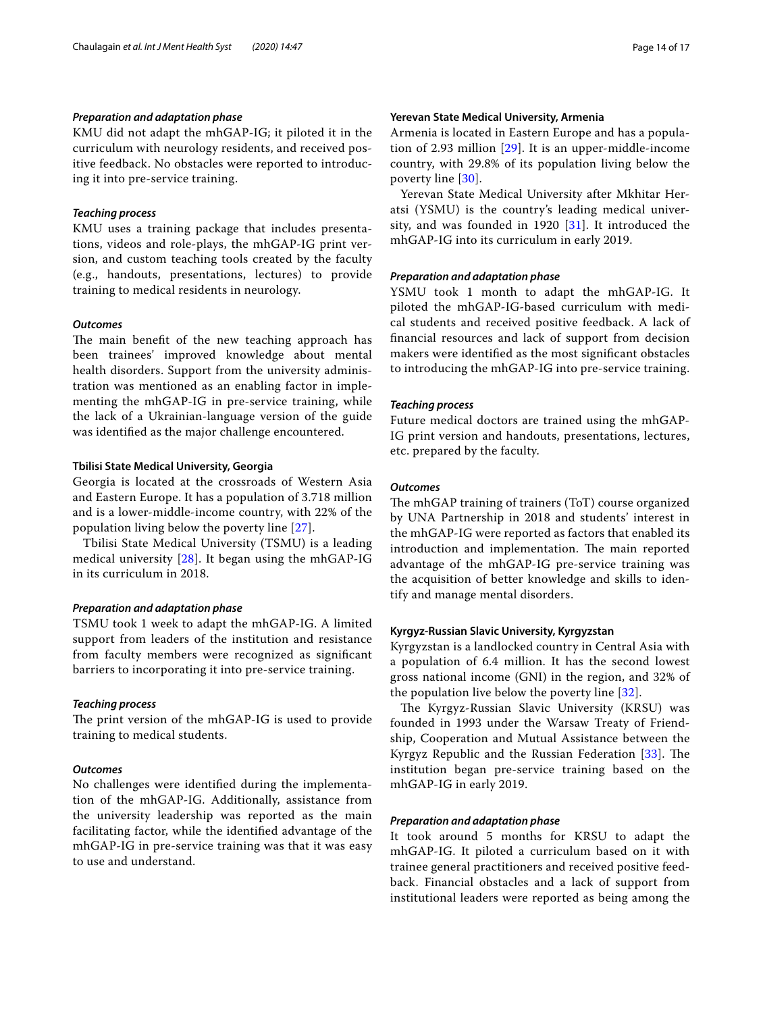#### *Preparation and adaptation phase*

KMU did not adapt the mhGAP-IG; it piloted it in the curriculum with neurology residents, and received positive feedback. No obstacles were reported to introducing it into pre-service training.

#### *Teaching process*

KMU uses a training package that includes presentations, videos and role-plays, the mhGAP-IG print version, and custom teaching tools created by the faculty (e.g., handouts, presentations, lectures) to provide training to medical residents in neurology.

#### *Outcomes*

The main benefit of the new teaching approach has been trainees' improved knowledge about mental health disorders. Support from the university administration was mentioned as an enabling factor in implementing the mhGAP-IG in pre-service training, while the lack of a Ukrainian-language version of the guide was identifed as the major challenge encountered.

#### **Tbilisi State Medical University, Georgia**

Georgia is located at the crossroads of Western Asia and Eastern Europe. It has a population of 3.718 million and is a lower-middle-income country, with 22% of the population living below the poverty line [\[27](#page-16-9)].

Tbilisi State Medical University (TSMU) is a leading medical university [[28\]](#page-16-10). It began using the mhGAP-IG in its curriculum in 2018.

### *Preparation and adaptation phase*

TSMU took 1 week to adapt the mhGAP-IG. A limited support from leaders of the institution and resistance from faculty members were recognized as signifcant barriers to incorporating it into pre-service training.

#### *Teaching process*

The print version of the mhGAP-IG is used to provide training to medical students.

#### *Outcomes*

No challenges were identifed during the implementation of the mhGAP-IG. Additionally, assistance from the university leadership was reported as the main facilitating factor, while the identifed advantage of the mhGAP-IG in pre-service training was that it was easy to use and understand.

#### **Yerevan State Medical University, Armenia**

Armenia is located in Eastern Europe and has a population of 2.93 million [[29](#page-16-11)]. It is an upper-middle-income country, with 29.8% of its population living below the poverty line [[30\]](#page-16-12).

Yerevan State Medical University after Mkhitar Heratsi (YSMU) is the country's leading medical university, and was founded in 1920 [\[31](#page-16-13)]. It introduced the mhGAP-IG into its curriculum in early 2019.

#### *Preparation and adaptation phase*

YSMU took 1 month to adapt the mhGAP-IG. It piloted the mhGAP-IG-based curriculum with medical students and received positive feedback. A lack of fnancial resources and lack of support from decision makers were identifed as the most signifcant obstacles to introducing the mhGAP-IG into pre-service training.

#### *Teaching process*

Future medical doctors are trained using the mhGAP-IG print version and handouts, presentations, lectures, etc. prepared by the faculty.

#### *Outcomes*

The mhGAP training of trainers (ToT) course organized by UNA Partnership in 2018 and students' interest in the mhGAP-IG were reported as factors that enabled its introduction and implementation. The main reported advantage of the mhGAP-IG pre-service training was the acquisition of better knowledge and skills to identify and manage mental disorders.

#### **Kyrgyz-Russian Slavic University, Kyrgyzstan**

Kyrgyzstan is a landlocked country in Central Asia with a population of 6.4 million. It has the second lowest gross national income (GNI) in the region, and 32% of the population live below the poverty line [[32\]](#page-16-14).

The Kyrgyz-Russian Slavic University (KRSU) was founded in 1993 under the Warsaw Treaty of Friendship, Cooperation and Mutual Assistance between the Kyrgyz Republic and the Russian Federation [\[33\]](#page-16-15). The institution began pre-service training based on the mhGAP-IG in early 2019.

#### *Preparation and adaptation phase*

It took around 5 months for KRSU to adapt the mhGAP-IG. It piloted a curriculum based on it with trainee general practitioners and received positive feedback. Financial obstacles and a lack of support from institutional leaders were reported as being among the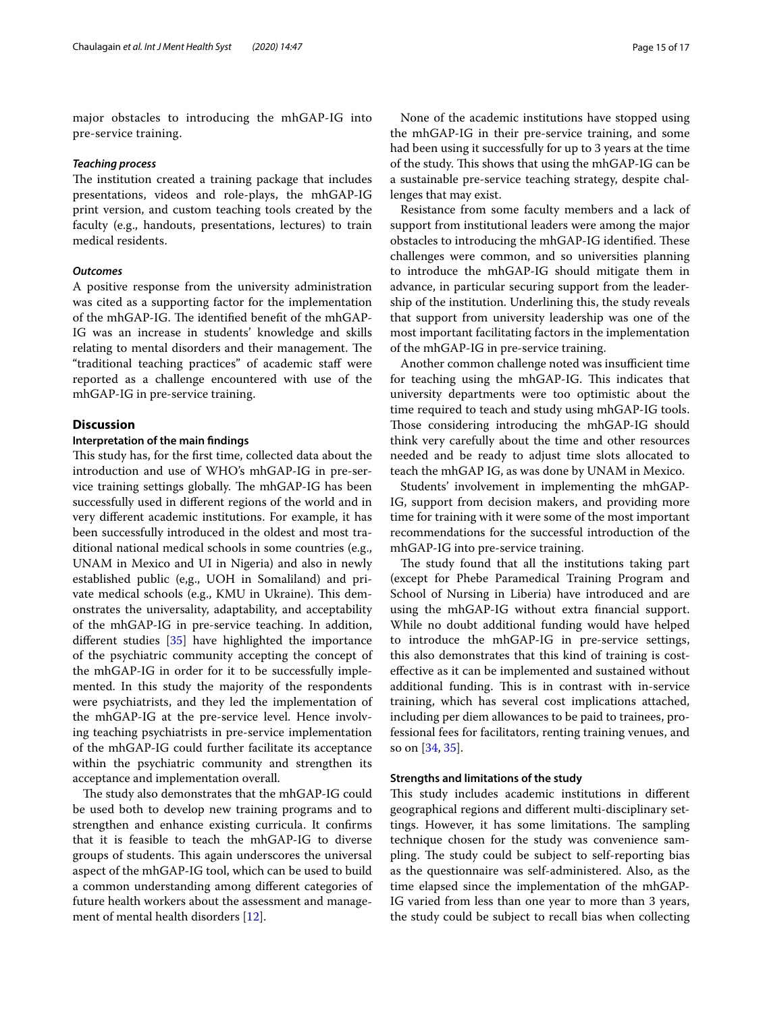major obstacles to introducing the mhGAP-IG into pre-service training.

#### *Teaching process*

The institution created a training package that includes presentations, videos and role-plays, the mhGAP-IG print version, and custom teaching tools created by the faculty (e.g., handouts, presentations, lectures) to train medical residents.

#### *Outcomes*

A positive response from the university administration was cited as a supporting factor for the implementation of the mhGAP-IG. The identified benefit of the mhGAP-IG was an increase in students' knowledge and skills relating to mental disorders and their management. The "traditional teaching practices" of academic staff were reported as a challenge encountered with use of the mhGAP-IG in pre-service training.

#### **Discussion**

#### **Interpretation of the main fndings**

This study has, for the first time, collected data about the introduction and use of WHO's mhGAP-IG in pre-service training settings globally. The mhGAP-IG has been successfully used in diferent regions of the world and in very diferent academic institutions. For example, it has been successfully introduced in the oldest and most traditional national medical schools in some countries (e.g., UNAM in Mexico and UI in Nigeria) and also in newly established public (e,g., UOH in Somaliland) and private medical schools (e.g., KMU in Ukraine). This demonstrates the universality, adaptability, and acceptability of the mhGAP-IG in pre-service teaching. In addition, diferent studies [[35\]](#page-16-16) have highlighted the importance of the psychiatric community accepting the concept of the mhGAP-IG in order for it to be successfully implemented. In this study the majority of the respondents were psychiatrists, and they led the implementation of the mhGAP-IG at the pre-service level. Hence involving teaching psychiatrists in pre-service implementation of the mhGAP-IG could further facilitate its acceptance within the psychiatric community and strengthen its acceptance and implementation overall.

The study also demonstrates that the mhGAP-IG could be used both to develop new training programs and to strengthen and enhance existing curricula. It confrms that it is feasible to teach the mhGAP-IG to diverse groups of students. This again underscores the universal aspect of the mhGAP-IG tool, which can be used to build a common understanding among diferent categories of future health workers about the assessment and management of mental health disorders [[12\]](#page-15-10).

None of the academic institutions have stopped using the mhGAP-IG in their pre-service training, and some had been using it successfully for up to 3 years at the time of the study. This shows that using the mhGAP-IG can be a sustainable pre-service teaching strategy, despite challenges that may exist.

Resistance from some faculty members and a lack of support from institutional leaders were among the major obstacles to introducing the mhGAP-IG identified. These challenges were common, and so universities planning to introduce the mhGAP-IG should mitigate them in advance, in particular securing support from the leadership of the institution. Underlining this, the study reveals that support from university leadership was one of the most important facilitating factors in the implementation of the mhGAP-IG in pre-service training.

Another common challenge noted was insufficient time for teaching using the mhGAP-IG. This indicates that university departments were too optimistic about the time required to teach and study using mhGAP-IG tools. Those considering introducing the mhGAP-IG should think very carefully about the time and other resources needed and be ready to adjust time slots allocated to teach the mhGAP IG, as was done by UNAM in Mexico.

Students' involvement in implementing the mhGAP-IG, support from decision makers, and providing more time for training with it were some of the most important recommendations for the successful introduction of the mhGAP-IG into pre-service training.

The study found that all the institutions taking part (except for Phebe Paramedical Training Program and School of Nursing in Liberia) have introduced and are using the mhGAP-IG without extra fnancial support. While no doubt additional funding would have helped to introduce the mhGAP-IG in pre-service settings, this also demonstrates that this kind of training is costefective as it can be implemented and sustained without additional funding. This is in contrast with in-service training, which has several cost implications attached, including per diem allowances to be paid to trainees, professional fees for facilitators, renting training venues, and so on [\[34,](#page-16-17) [35](#page-16-16)].

#### **Strengths and limitations of the study**

This study includes academic institutions in different geographical regions and diferent multi-disciplinary settings. However, it has some limitations. The sampling technique chosen for the study was convenience sampling. The study could be subject to self-reporting bias as the questionnaire was self-administered. Also, as the time elapsed since the implementation of the mhGAP-IG varied from less than one year to more than 3 years, the study could be subject to recall bias when collecting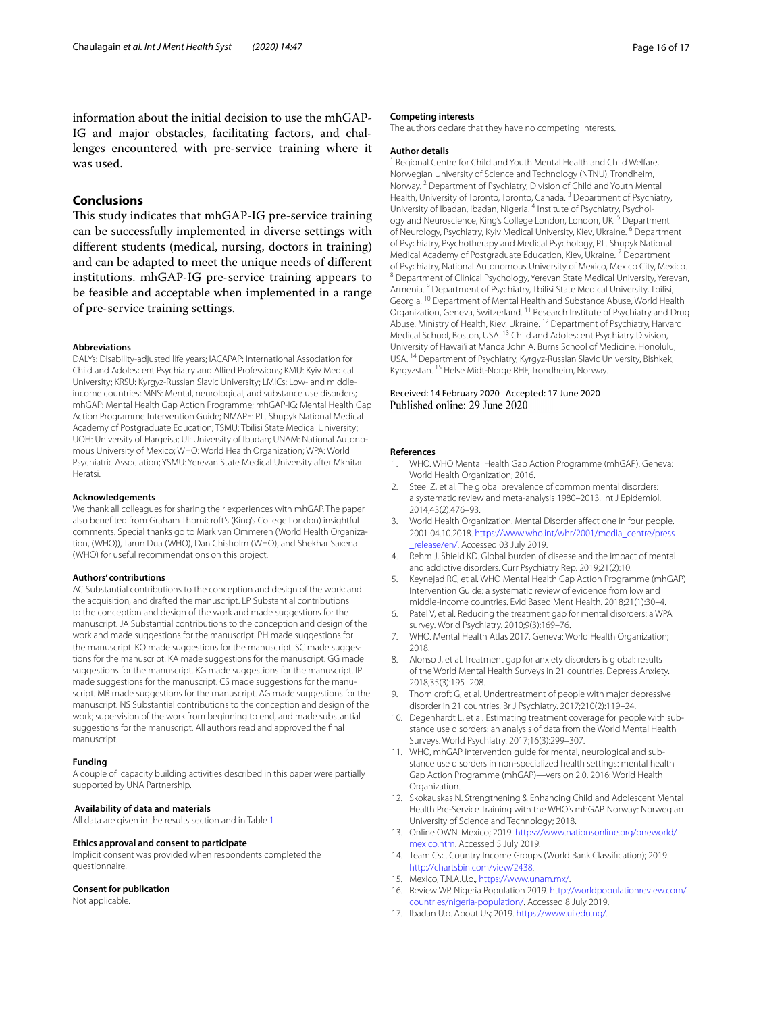information about the initial decision to use the mhGAP-IG and major obstacles, facilitating factors, and challenges encountered with pre-service training where it was used.

#### **Conclusions**

This study indicates that mhGAP-IG pre-service training can be successfully implemented in diverse settings with diferent students (medical, nursing, doctors in training) and can be adapted to meet the unique needs of diferent institutions. mhGAP-IG pre-service training appears to be feasible and acceptable when implemented in a range of pre-service training settings.

#### **Abbreviations**

DALYs: Disability-adjusted life years; IACAPAP: International Association for Child and Adolescent Psychiatry and Allied Professions; KMU: Kyiv Medical University; KRSU: Kyrgyz-Russian Slavic University; LMICs: Low- and middleincome countries; MNS: Mental, neurological, and substance use disorders; mhGAP: Mental Health Gap Action Programme; mhGAP-IG: Mental Health Gap Action Programme Intervention Guide; NMAPE: P.L. Shupyk National Medical Academy of Postgraduate Education; TSMU: Tbilisi State Medical University; UOH: University of Hargeisa; UI: University of Ibadan; UNAM: National Autonomous University of Mexico; WHO: World Health Organization; WPA: World Psychiatric Association; YSMU: Yerevan State Medical University after Mkhitar Heratsi.

#### **Acknowledgements**

We thank all colleagues for sharing their experiences with mhGAP. The paper also benefted from Graham Thornicroft's (King's College London) insightful comments. Special thanks go to Mark van Ommeren (World Health Organization, (WHO)), Tarun Dua (WHO), Dan Chisholm (WHO), and Shekhar Saxena (WHO) for useful recommendations on this project.

#### **Authors' contributions**

AC Substantial contributions to the conception and design of the work; and the acquisition, and drafted the manuscript. LP Substantial contributions to the conception and design of the work and made suggestions for the manuscript. JA Substantial contributions to the conception and design of the work and made suggestions for the manuscript. PH made suggestions for the manuscript. KO made suggestions for the manuscript. SC made suggestions for the manuscript. KA made suggestions for the manuscript. GG made suggestions for the manuscript. KG made suggestions for the manuscript. IP made suggestions for the manuscript. CS made suggestions for the manuscript. MB made suggestions for the manuscript. AG made suggestions for the manuscript. NS Substantial contributions to the conception and design of the work; supervision of the work from beginning to end, and made substantial suggestions for the manuscript. All authors read and approved the fnal manuscript.

#### **Funding**

A couple of capacity building activities described in this paper were partially supported by UNA Partnership.

#### **Availability of data and materials**

All data are given in the results section and in Table [1](#page-4-0).

#### **Ethics approval and consent to participate**

Implicit consent was provided when respondents completed the questionnaire.

#### **Consent for publication**

Not applicable.

#### **Competing interests**

The authors declare that they have no competing interests.

#### **Author details**

<sup>1</sup> Regional Centre for Child and Youth Mental Health and Child Welfare, Norwegian University of Science and Technology (NTNU), Trondheim, Norway. 2 Department of Psychiatry, Division of Child and Youth Mental Health, University of Toronto, Toronto, Canada.<sup>3</sup> Department of Psychiatry, University of Ibadan, Ibadan, Nigeria. 4 Institute of Psychiatry, Psychology and Neuroscience, King's College London, London, UK. 5 Department of Neurology, Psychiatry, Kyiv Medical University, Kiev, Ukraine. <sup>6</sup> Department of Psychiatry, Psychotherapy and Medical Psychology, P.L. Shupyk National Medical Academy of Postgraduate Education, Kiev, Ukraine. 7 Department of Psychiatry, National Autonomous University of Mexico, Mexico City, Mexico.<br><sup>8</sup> Department of Clinical Psychology, Yerevan State Medical University, Yerevan, Armenia.<sup>9</sup> Department of Psychiatry, Tbilisi State Medical University, Tbilisi, Georgia. <sup>10</sup> Department of Mental Health and Substance Abuse, World Health Organization, Geneva, Switzerland. 11 Research Institute of Psychiatry and Drug Abuse, Ministry of Health, Kiev, Ukraine. 12 Department of Psychiatry, Harvard Medical School, Boston, USA. 13 Child and Adolescent Psychiatry Division, University of Hawai'i at Mānoa John A. Burns School of Medicine, Honolulu, USA. 14 Department of Psychiatry, Kyrgyz-Russian Slavic University, Bishkek, Kyrgyzstan. 15 Helse Midt-Norge RHF, Trondheim, Norway.

# Received: 14 February 2020 Accepted: 17 June 2020

#### **References**

- <span id="page-15-0"></span>1. WHO. WHO Mental Health Gap Action Programme (mhGAP). Geneva: World Health Organization; 2016.
- <span id="page-15-1"></span>2. Steel Z, et al. The global prevalence of common mental disorders: a systematic review and meta-analysis 1980–2013. Int J Epidemiol. 2014;43(2):476–93.
- <span id="page-15-2"></span>3. World Health Organization. Mental Disorder afect one in four people. 2001 04.10.2018. [https://www.who.int/whr/2001/media\\_centre/press](https://www.who.int/whr/2001/media_centre/press_release/en/) release/en/. Accessed 03 July 2019.
- <span id="page-15-3"></span>4. Rehm J, Shield KD. Global burden of disease and the impact of mental and addictive disorders. Curr Psychiatry Rep. 2019;21(2):10.
- <span id="page-15-4"></span>5. Keynejad RC, et al. WHO Mental Health Gap Action Programme (mhGAP) Intervention Guide: a systematic review of evidence from low and middle-income countries. Evid Based Ment Health. 2018;21(1):30–4.
- <span id="page-15-5"></span>6. Patel V, et al. Reducing the treatment gap for mental disorders: a WPA survey. World Psychiatry. 2010;9(3):169–76.
- <span id="page-15-6"></span>7. WHO. Mental Health Atlas 2017. Geneva: World Health Organization; 2018.
- <span id="page-15-7"></span>8. Alonso J, et al. Treatment gap for anxiety disorders is global: results of the World Mental Health Surveys in 21 countries. Depress Anxiety. 2018;35(3):195–208.
- Thornicroft G, et al. Undertreatment of people with major depressive disorder in 21 countries. Br J Psychiatry. 2017;210(2):119–24.
- <span id="page-15-8"></span>10. Degenhardt L, et al. Estimating treatment coverage for people with substance use disorders: an analysis of data from the World Mental Health Surveys. World Psychiatry. 2017;16(3):299–307.
- <span id="page-15-9"></span>11. WHO, mhGAP intervention guide for mental, neurological and substance use disorders in non-specialized health settings: mental health Gap Action Programme (mhGAP)—version 2.0. 2016: World Health Organization.
- <span id="page-15-10"></span>12. Skokauskas N. Strengthening & Enhancing Child and Adolescent Mental Health Pre-Service Training with the WHO's mhGAP. Norway: Norwegian University of Science and Technology; 2018.
- <span id="page-15-11"></span>13. Online OWN. Mexico; 2019. [https://www.nationsonline.org/oneworld/](https://www.nationsonline.org/oneworld/mexico.htm) [mexico.htm](https://www.nationsonline.org/oneworld/mexico.htm). Accessed 5 July 2019.
- <span id="page-15-12"></span>14. Team Csc. Country Income Groups (World Bank Classifcation); 2019. [http://chartsbin.com/view/2438.](http://chartsbin.com/view/2438)
- <span id="page-15-13"></span>15. Mexico, T.N.A.U.o., <https://www.unam.mx/>.
- <span id="page-15-14"></span>16. Review WP. Nigeria Population 2019. [http://worldpopulationreview.com/](http://worldpopulationreview.com/countries/nigeria-population/) [countries/nigeria-population/.](http://worldpopulationreview.com/countries/nigeria-population/) Accessed 8 July 2019.
- <span id="page-15-15"></span>17. Ibadan U.o. About Us; 2019.<https://www.ui.edu.ng/>.